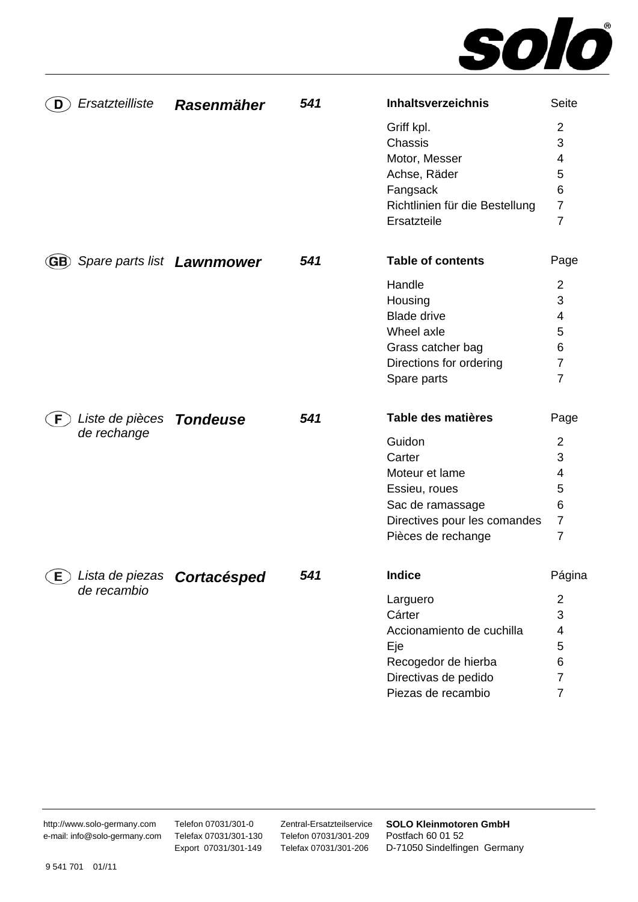

|      |                                 | <b>Rasenmäher</b>             | 541 | <b>Inhaltsverzeichnis</b>                  | Seite          |
|------|---------------------------------|-------------------------------|-----|--------------------------------------------|----------------|
|      |                                 |                               |     | Griff kpl.                                 | $\overline{2}$ |
|      |                                 |                               |     | Chassis                                    | 3              |
|      |                                 |                               |     | Motor, Messer                              | 4              |
|      |                                 |                               |     | Achse, Räder                               | 5              |
|      |                                 |                               |     | Fangsack                                   | 6              |
|      |                                 |                               |     | Richtlinien für die Bestellung             | $\overline{7}$ |
|      |                                 |                               |     | Ersatzteile                                | $\overline{7}$ |
| (GB) |                                 | Spare parts list Lawnmower    | 541 | <b>Table of contents</b>                   | Page           |
|      |                                 |                               |     | Handle                                     | $\overline{2}$ |
|      |                                 |                               |     | Housing                                    | 3              |
|      |                                 |                               |     | <b>Blade drive</b>                         | 4              |
|      |                                 |                               |     | Wheel axle                                 | 5              |
|      |                                 |                               |     | Grass catcher bag                          | 6              |
|      |                                 |                               |     | Directions for ordering                    | 7              |
|      |                                 |                               |     | Spare parts                                | $\overline{7}$ |
|      | Liste de pièces <b>Tondeuse</b> |                               | 541 | Table des matières                         | Page           |
| F.   |                                 |                               |     |                                            |                |
|      | de rechange                     |                               |     | Guidon                                     | $\overline{2}$ |
|      |                                 |                               |     | Carter                                     | 3              |
|      |                                 |                               |     | Moteur et lame                             | 4              |
|      |                                 |                               |     | Essieu, roues                              | 5              |
|      |                                 |                               |     | Sac de ramassage                           | 6              |
|      |                                 |                               |     | Directives pour les comandes               | $\overline{7}$ |
|      |                                 |                               |     | Pièces de rechange                         | $\overline{7}$ |
|      |                                 | E Lista de piezas Cortacésped | 541 | Indice                                     |                |
|      | de recambio                     |                               |     | Larguero                                   | $\overline{2}$ |
|      |                                 |                               |     | Cárter                                     | 3              |
|      |                                 |                               |     | Accionamiento de cuchilla                  | 4              |
|      |                                 |                               |     | Eje                                        | 5              |
|      |                                 |                               |     | Recogedor de hierba                        | Página<br>6    |
|      |                                 |                               |     | Directivas de pedido<br>Piezas de recambio | 7              |

Zentral-Ersatzteilservice Telefon 07031/301-209 Telefax 07031/301-206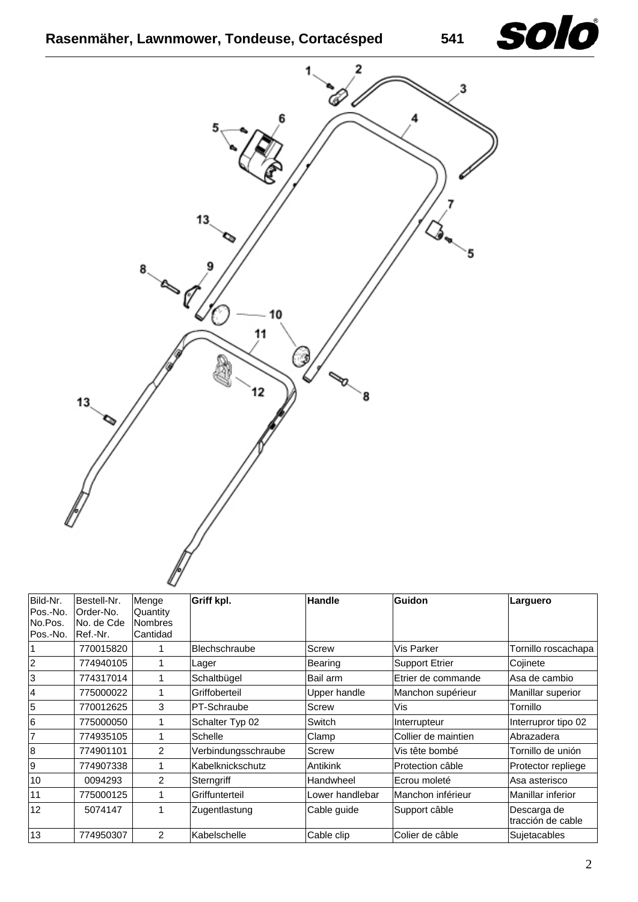







| Bild-Nr.<br>Pos.-No.<br>No.Pos.<br>Pos.-No. | Bestell-Nr.<br>Order-No.<br>No. de Cde<br>IRef.-Nr. | Menge<br>Quantity<br><b>Nombres</b><br>Cantidad | Griff kpl.          | <b>Handle</b>    | Guidon                | Larguero                         |
|---------------------------------------------|-----------------------------------------------------|-------------------------------------------------|---------------------|------------------|-----------------------|----------------------------------|
|                                             | 770015820                                           |                                                 | Blechschraube       | Screw            | Vis Parker            | Tornillo roscachapa              |
| $\overline{2}$                              | 774940105                                           |                                                 | Lager               | Bearing          | <b>Support Etrier</b> | Cojinete                         |
| 3                                           | 774317014                                           |                                                 | Schaltbügel         | Bail arm         | Etrier de commande    | Asa de cambio                    |
| 4                                           | 775000022                                           |                                                 | Griffoberteil       | Upper handle     | Manchon supérieur     | Manillar superior                |
| 5                                           | 770012625                                           | 3                                               | <b>PT-Schraube</b>  | Screw            | Vis                   | Tornillo                         |
| 6                                           | 775000050                                           |                                                 | Schalter Typ 02     | Switch           | Interrupteur          | Interrupror tipo 02              |
| $\overline{7}$                              | 774935105                                           |                                                 | Schelle             | Clamp            | Collier de maintien   | Abrazadera                       |
| 8                                           | 774901101                                           | 2                                               | Verbindungsschraube | Screw            | Vis tête bombé        | Tornillo de unión                |
| 9                                           | 774907338                                           |                                                 | Kabelknickschutz    | Antikink         | Protection câble      | Protector repliege               |
| 10                                          | 0094293                                             | 2                                               | Sterngriff          | <b>Handwheel</b> | Ecrou moleté          | Asa asterisco                    |
| 11                                          | 775000125                                           |                                                 | Griffunterteil      | Lower handlebar  | Manchon inférieur     | Manillar inferior                |
| 12                                          | 5074147                                             |                                                 | Zugentlastung       | Cable guide      | Support câble         | Descarga de<br>tracción de cable |
| 13                                          | 774950307                                           | 2                                               | Kabelschelle        | Cable clip       | Colier de câble       | Sujetacables                     |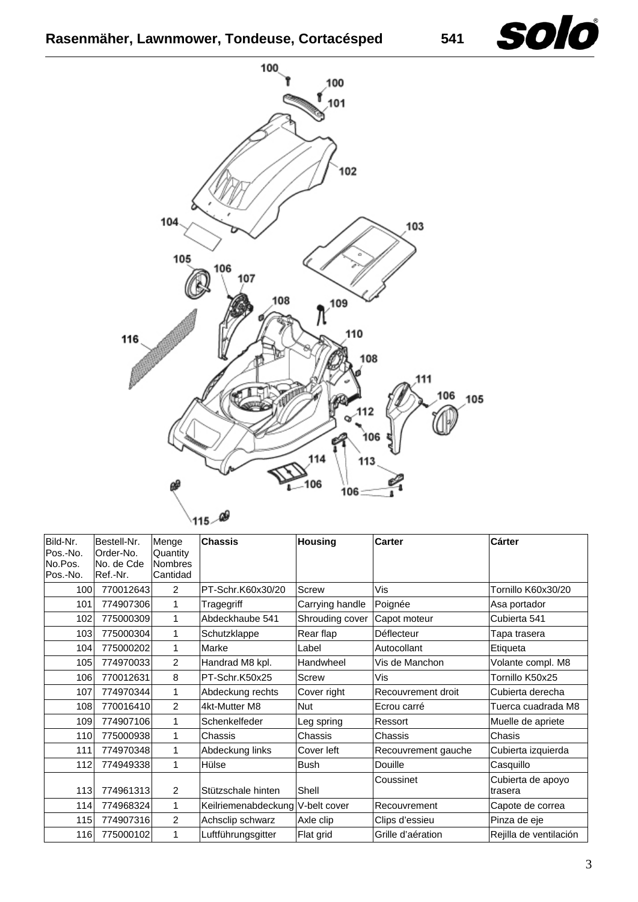# **Rasenmäher, Lawnmower, Tondeuse, Cortacésped 541**



| Bild-Nr.<br>Pos.-No.<br>No.Pos.<br>Pos.-No. | Bestell-Nr.<br>Order-No.<br>INo. de Cde<br>Ref.-Nr. | Menge<br>Quantity<br><b>Nombres</b><br>Cantidad | <b>Chassis</b>                   | <b>Housing</b>  | <b>Carter</b>       | <b>Cárter</b>                |
|---------------------------------------------|-----------------------------------------------------|-------------------------------------------------|----------------------------------|-----------------|---------------------|------------------------------|
| 100                                         | 770012643                                           | $\overline{2}$                                  | PT-Schr.K60x30/20                | Screw           | Vis                 | Tornillo K60x30/20           |
| 101                                         | 774907306                                           | 1                                               | Tragegriff                       | Carrying handle | Poignée             | Asa portador                 |
| 102                                         | 775000309                                           | 1                                               | Abdeckhaube 541                  | Shrouding cover | Capot moteur        | Cubierta 541                 |
| 103                                         | 775000304                                           | 1                                               | Schutzklappe                     | Rear flap       | Déflecteur          | Tapa trasera                 |
| 104                                         | 775000202                                           | 1                                               | Marke                            | Label           | Autocollant         | Etiqueta                     |
| 105                                         | 774970033                                           | $\overline{2}$                                  | Handrad M8 kpl.                  | Handwheel       | Vis de Manchon      | Volante compl. M8            |
| 106                                         | 770012631                                           | 8                                               | PT-Schr.K50x25                   | Screw           | <b>Vis</b>          | Tornillo K50x25              |
| 107                                         | 774970344                                           | 1                                               | Abdeckung rechts                 | Cover right     | Recouvrement droit  | Cubierta derecha             |
| 108                                         | 770016410                                           | $\overline{2}$                                  | 4kt-Mutter M8                    | <b>Nut</b>      | Ecrou carré         | Tuerca cuadrada M8           |
| 109                                         | 774907106                                           | 1                                               | Schenkelfeder                    | Leg spring      | Ressort             | Muelle de apriete            |
| 110                                         | 775000938                                           | 1                                               | Chassis                          | Chassis         | Chassis             | Chasis                       |
| 111                                         | 774970348                                           | 1                                               | Abdeckung links                  | Cover left      | Recouvrement gauche | Cubierta izquierda           |
| 112                                         | 774949338                                           | 1                                               | Hülse                            | Bush            | Douille             | Casquillo                    |
| 113                                         | 774961313                                           | 2                                               | Stützschale hinten               | Shell           | Coussinet           | Cubierta de apoyo<br>trasera |
| 114                                         | 774968324                                           | 1                                               | Keilriemenabdeckung V-belt cover |                 | Recouvrement        | Capote de correa             |
| 115                                         | 774907316                                           | 2                                               | Achsclip schwarz                 | Axle clip       | Clips d'essieu      | Pinza de eje                 |
| 116                                         | 775000102                                           | 1                                               | Luftführungsgitter               | Flat grid       | Grille d'aération   | Rejilla de ventilación       |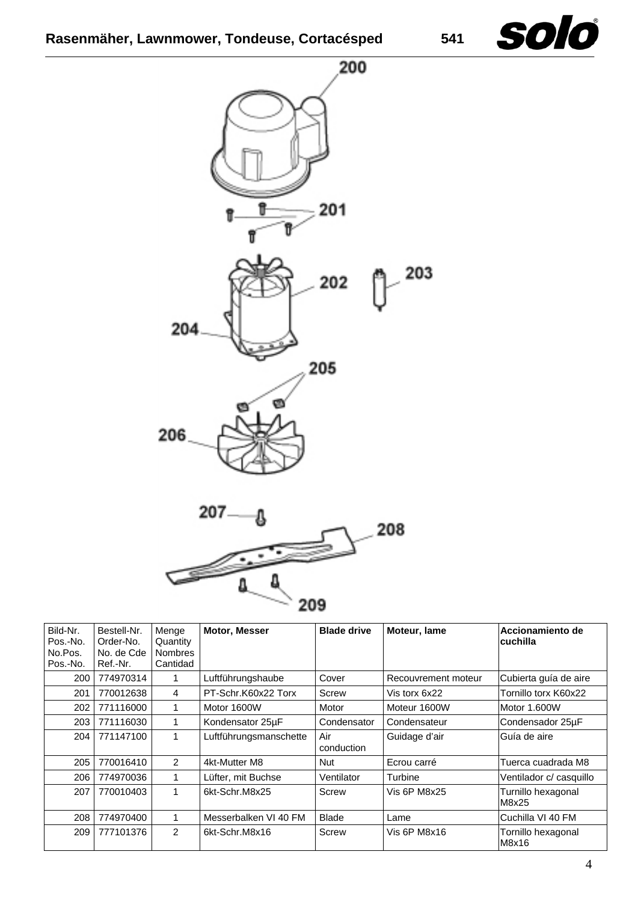





| Bild-Nr.<br>Pos.-No.<br>No.Pos.<br>Pos.-No. | Bestell-Nr.<br>Order-No.<br>No. de Cde<br>Ref.-Nr. | Menge<br>Quantity<br><b>Nombres</b><br>Cantidad | <b>Motor, Messer</b>   | <b>Blade drive</b> | Moteur, lame        | Accionamiento de<br>lcuchilla |
|---------------------------------------------|----------------------------------------------------|-------------------------------------------------|------------------------|--------------------|---------------------|-------------------------------|
| 200                                         | 774970314                                          | 1                                               | Luftführungshaube      | Cover              | Recouvrement moteur | Cubierta guía de aire         |
| 201                                         | 770012638                                          | 4                                               | PT-Schr.K60x22 Torx    | Screw              | Vis torx 6x22       | Tornillo torx K60x22          |
| 202                                         | 771116000                                          | 1                                               | Motor 1600W            | Motor              | Moteur 1600W        | IMotor 1.600W                 |
| 203                                         | 771116030                                          | 1                                               | Kondensator 25µF       | Condensator        | Condensateur        | Condensador 25µF              |
| 204                                         | 771147100                                          | 1                                               | Luftführungsmanschette | Air<br>conduction  | Guidage d'air       | Guía de aire                  |
| 205                                         | 770016410                                          | $\mathfrak{p}$                                  | 4kt-Mutter M8          | Nut                | Ecrou carré         | Tuerca cuadrada M8            |
| 206                                         | 774970036                                          | 1                                               | Lüfter, mit Buchse     | Ventilator         | Turbine             | Ventilador c/ casquillo       |
| 207                                         | 770010403                                          | 1                                               | 6kt-Schr.M8x25         | Screw              | Vis 6P M8x25        | Turnillo hexagonal<br>M8x25   |
| 208                                         | 774970400                                          | 1                                               | Messerbalken VI 40 FM  | Blade              | Lame                | Cuchilla VI 40 FM             |
| 209                                         | 777101376                                          | 2                                               | 6kt-Schr.M8x16         | Screw              | Vis 6P M8x16        | Tornillo hexagonal<br>M8x16   |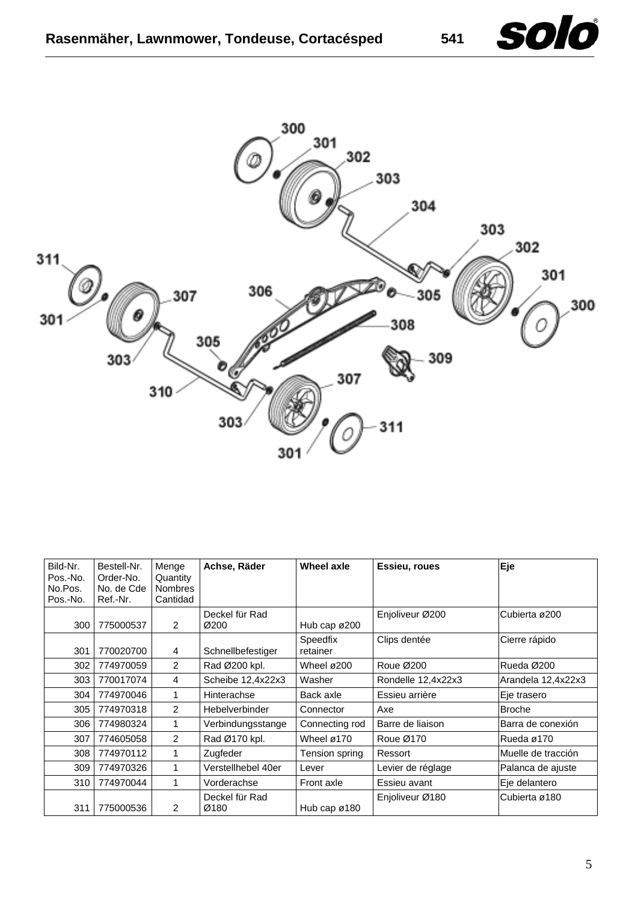solo



| Bild-Nr. | Bestell-Nr. | Menge          | Achse, Räder           | Wheel axle                | Essieu, roues      | Eje                |
|----------|-------------|----------------|------------------------|---------------------------|--------------------|--------------------|
| Pos.-No. | Order-No.   | Quantity       |                        |                           |                    |                    |
| No.Pos.  | No. de Cde  | <b>Nombres</b> |                        |                           |                    |                    |
| Pos.-No. | Ref.-Nr.    | Cantidad       |                        |                           |                    |                    |
|          |             |                | Deckel für Rad         |                           | Enjoliveur Ø200    | Cubierta ø200      |
| 300      | 775000537   | $\overline{2}$ | Ø200                   | Hub cap ø200              |                    |                    |
|          |             |                |                        | Speedfix                  | Clips dentée       | Cierre rápido      |
| 301      | 770020700   | 4              | Schnellbefestiger      | retainer                  |                    |                    |
| 302      | 774970059   | 2              | Rad Ø200 kpl.          | Wheel $\varnothing$ 200   | Roue Ø200          | Rueda Ø200         |
| 303      | 770017074   | 4              | Scheibe 12,4x22x3      | Washer                    | Rondelle 12,4x22x3 | Arandela 12,4x22x3 |
| 304      | 774970046   | 1              | Hinterachse            | Back axle                 | Essieu arrière     | Eje trasero        |
| 305      | 774970318   | 2              | <b>Hebelverbinder</b>  | Connector                 | Axe                | <b>Broche</b>      |
| 306      | 774980324   | 1              | Verbindungsstange      | Connecting rod            | Barre de liaison   | Barra de conexión  |
| 307      | 774605058   | 2              | Rad Ø170 kpl.          | Wheel $\varnothing$ 170   | Roue Ø170          | Rueda ø170         |
| 308      | 774970112   | 1              | Zugfeder               | Tension spring            | Ressort            | Muelle de tracción |
| 309      | 774970326   | 1              | Verstellhebel 40er     | Lever                     | Levier de réglage  | Palanca de ajuste  |
| 310      | 774970044   | $\mathbf{1}$   | Vorderachse            | Front axle                | Essieu avant       | Eje delantero      |
| 311      | 775000536   | 2              | Deckel für Rad<br>Ø180 | Hub cap $\varnothing$ 180 | Enjoliveur Ø180    | Cubierta ø180      |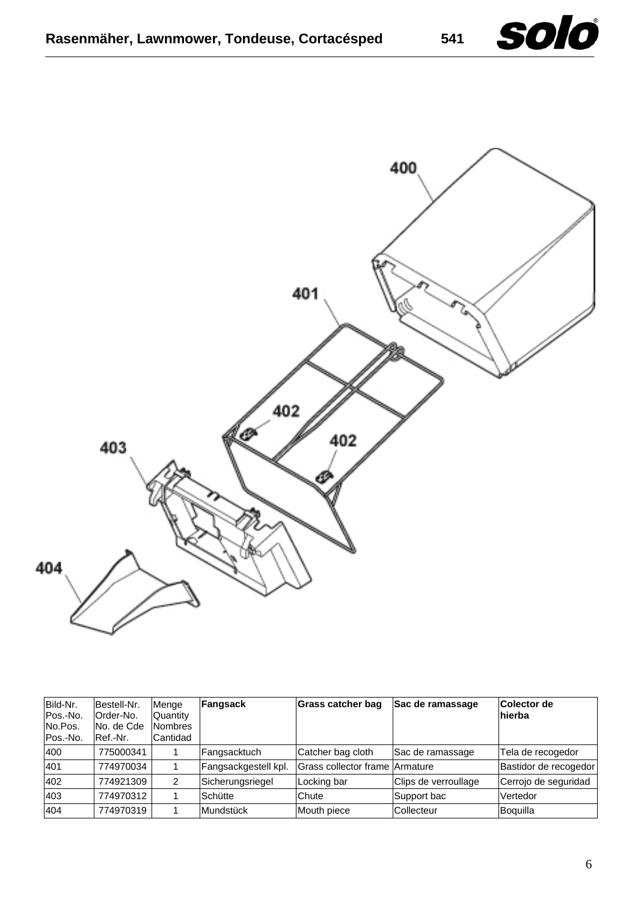



| Bild-Nr.<br>Pos.-No.<br>No.Pos.<br>Pos.-No. | Bestell-Nr.<br>Order-No.<br>No. de Cde<br>Ref.-Nr. | Menge<br>Quantity<br><b>Nombres</b><br>Cantidad | Fangsack             | Grass catcher bag              | Sac de ramassage     | Colector de<br>hierba |
|---------------------------------------------|----------------------------------------------------|-------------------------------------------------|----------------------|--------------------------------|----------------------|-----------------------|
| 400                                         | 775000341                                          |                                                 | Fangsacktuch         | Catcher bag cloth              | Sac de ramassage     | Tela de recogedor     |
| 401                                         | 774970034                                          |                                                 | Fangsackgestell kpl. | Grass collector frame Armature |                      | Bastidor de recogedor |
| 402                                         | 774921309                                          | 2                                               | Sicherungsriegel     | Locking bar                    | Clips de verroullage | Cerrojo de seguridad  |
| 403                                         | 774970312                                          |                                                 | Schütte              | Chute                          | Support bac          | Vertedor              |
| 404                                         | 774970319                                          |                                                 | Mundstück            | Mouth piece                    | Collecteur           | Boquilla              |